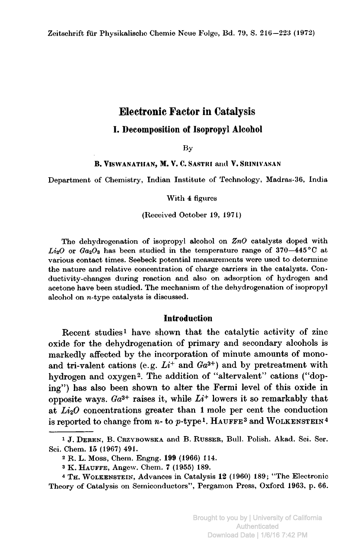# Electronic Factor in Catalysis

## I. Decomposition oí Isopropyl Alcohol

By

### . ViSWANATHAN, M. V. C. SASTRI and V. SRINIVASAN

Department of Chemistry, Indian Institute of Technology, Madras-36, India

### With <sup>4</sup> figures

### (Received October 19, 1971)

The dehydrogenation of isopropyl alcohol on  $ZnO$  catalysts doped with  $Li_2O$  or  $Ga_2O_3$  has been studied in the temperature range of 370–445 °C at various contact times. Seebeck potential measurements were used to determine the nature and relative concentration of charge carriers in the catalysts. Conductivity-changes during reaction and also on adsorption of hydrogen and acetone have been studied. The mechanism of the dehydrogenation of isopropyl alcohol on  $n$ -type catalysts is discussed.

## Introduction

Recent studies<sup>1</sup> have shown that the catalytic activity of zinc oxide for the dehydrogenation of primary and secondary alcohols is markedly affected by the incorporation of minute amounts of monoand tri-valent cations (e.g.  $Li^+$  and  $Ga^{3+}$ ) and by pretreatment with hydrogen and oxygen<sup>2</sup>. The addition of "altervalent" cations ("doping") has also been shown to alter the Fermi level of this oxide in opposite ways.  $Ga^{3+}$  raises it, while  $Li^+$  lowers it so remarkably that at  $Li<sub>2</sub>O$  concentrations greater than 1 mole per cent the conduction is reported to change from  $n$ - to  $p$ -type<sup>1</sup>. HAUFFE<sup>3</sup> and WOLKENSTEIN<sup>4</sup>

<sup>&</sup>lt;sup>1</sup> J. DEREN, B. CRZYBOWSKA and B. RUSSER, Bull. Polish. Akad. Sci. Ser. Sci. Chem. 15 (1967) 491.

<sup>2</sup> R. L. Moss, Chem. Engng. 199 (1966) 114.

<sup>3</sup> K. Hauffe, Angew. Chem. <sup>7</sup> (1955) 189.

<sup>4</sup> Th. Wolkenstein, Advances in Catalysis <sup>12</sup> (1960) 189; "The Electronic Theory of Catalysis on Semiconductors", Pergamon Press, Oxford 1963, p. 66.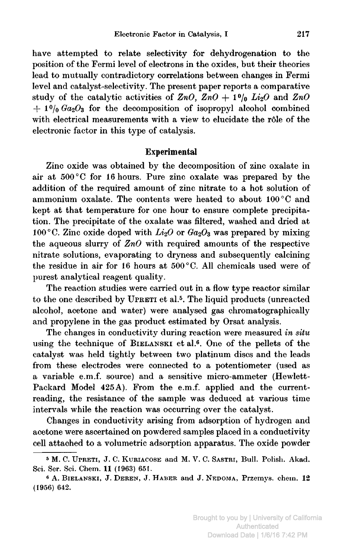have attempted to relate selectivity for dehydrogenation to the position of the Fermi level of electrons in the oxides, but their theories lead to mutually contradictory correlations between changes in Fermi level and catalyst-selectivity. The present paper reports <sup>a</sup> comparative study of the catalytic activities of  $ZnO$ ,  $ZnO + 1%$   $Li<sub>2</sub>O$  and  $ZnO$  $f_1$  +  $1$ <sup>0</sup>/<sub>0</sub>  $Ga_2O_3$  for the decomposition of isopropyl alcohol combined with electrical measurements with a view to elucidate the rôle of the electronic factor in this type of catalysis.

### Experimental

Zinc oxide was obtained by the decomposition of zinc Oxalate in air at <sup>500</sup> °C for <sup>16</sup> hours. Pure zinc Oxalate was prepared by the addition of the required amount of zinc nitrate to <sup>a</sup> hot solution of ammonium oxalate. The contents were heated to about 100°C and kept at that temperature for one hour to ensure complete precipitation. The precipitate of the Oxalate was filtered, washed and dried at 100°C. Zinc oxide doped with  $Li_2O$  or  $Ga_2O_3$  was prepared by mixing the aqueous slurry of  $ZnO$  with required amounts of the respective nitrate solutions, evaporating to dryness and subsequently calcining the residue in air for <sup>16</sup> hours at 500 °C. All chemicals used were of purest analytical reagent quality.

The reaction studies were carried out in <sup>a</sup> flow type reactor similar to the one described by UPRETI et al.<sup>5</sup>. The liquid products (unreacted alcohol, acetone and water) were analysed gas chromatographically and propylene in the gas product estimated by Orsat analysis.

The changes in conductivity during reaction were measured in situ using the technique of BIELANSKI et al.6. One of the pellets of the catalyst was held tightly between two platinum discs and the leads from these electrodes were connected to <sup>a</sup> potentiometer (used as <sup>a</sup> variable e.m.f. source) and <sup>a</sup> sensitive micro-ammeter (Hewlett-Packard Model 425A). From the e.m.f. applied and the currentreading, the resistance of the sample was deduced at various time intervals while the reaction was occurring over the catalyst.

Changes in conductivity arising from adsorption of hydrogen and acetone were ascertained on powdered samples placed in <sup>a</sup> conductivity cell attached to <sup>a</sup> volumetric adsorption apparatus. The oxide powder

<sup>&</sup>lt;sup>5</sup> M. C. UPRETI, J. C. KURIACOSE and M. V. C. SASTRI, Bull. Polish. Akad. Sci. Ser. Sci. Chem. 11 (1963) 651.

<sup>6</sup> A. BIELANSKI, J. DEREN, J. HABER and J. NEDOMA, Przemys. chem. 12 (1956) 642.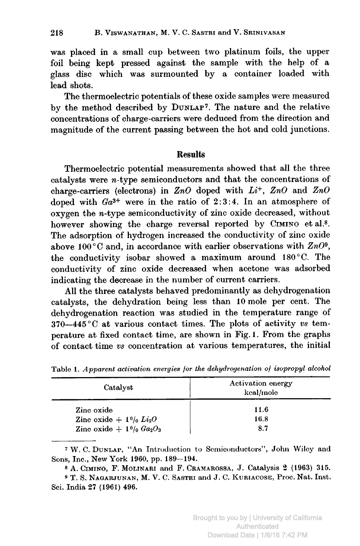was placed in <sup>a</sup> small cup between two platinum foils, the upper foil being kept pressed against the sample with the help of <sup>a</sup> glass disc which was surmounted by <sup>a</sup> container loaded with lead shots.

The thermoelectric potentials of these oxide samples were measured by the method described by DUNLAP<sup>7</sup>. The nature and the relative concentrations of charge-carriers were deduced from the direction and magnitude of the current passing between the hot and cold junctions.

## **Results**

Thermoelectric potential measurements showed that all the three catalysts were  $n$ -type semiconductors and that the concentrations of charge-carriers (electrons) in  $ZnO$  doped with  $Li^+$ ,  $ZnO$  and  $ZnO$ doped with  $Ga^{3+}$  were in the ratio of 2:3:4. In an atmosphere of oxygen the  $n$ -type semiconductivity of zinc oxide decreased, without however showing the charge reversal reported by CIMINO et al.8. The adsorption of hydrogen increased the conductivity of zinc oxide above 100 °C and, in accordance with earlier observations with  $ZnO<sup>9</sup>$ . the conductivity isobar showed <sup>a</sup> maximum around 180°C. The conductivity of zinc oxide decreased when acetone was adsorbed indicating the decrease in the number of current carriers.

All the three catalysts behaved predominantly as dehydrogenation catalysts, the dehydration being less than <sup>10</sup> mole per cent. The dehydrogenation reaction was studied in the temperature range of  $370-445$  °C at various contact times. The plots of activity vs temperature at fixed contact time, are shown in Fig. 1. From the graphs of contact time vs concentration at various temperatures, the initial

| Catalyst                           | Activation energy<br>kcal/mole |
|------------------------------------|--------------------------------|
| Zinc oxide                         | 11.6                           |
| Zinc oxide + $1\%$ $Li_2O$         | 16.8                           |
| Zinc oxide + $1\frac{0}{0}Ga_2O_3$ | 8.7                            |

Table 1. Apparent activation energies for the dehydrogenation of isopropyl alcohol

<sup>7</sup> W. C. Dunlap, "An Introduction to Semiconductors", John Wiloy and Sons, Inc., New York 1960, pp. 189—194.

<sup>8</sup> A. Cimino, F. Molinari and F. Cramarossa, J. Catalysis <sup>2</sup> (1963) 315.

<sup>9</sup> T. S. Nagarjunan, M. V. C. Sastri and J. C. Kuriacose, Proc. Nat. Inst. Sci. India 27 (1961) 496.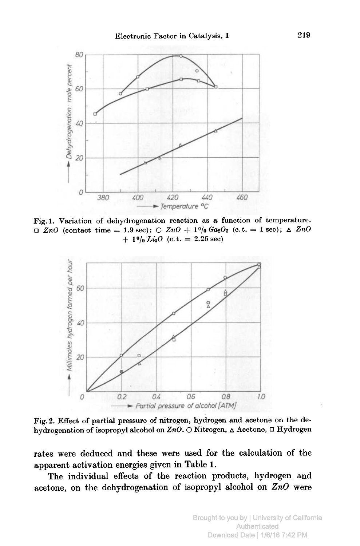

Fig. 1. Variation of dehydrogenation reaction as <sup>a</sup> function of temperature.  $ZnO$  (contact time = 1.9 sec);  $\bigcirc ZnO + 1\%Ga_2O_3$  (c.t. = 1 sec);  $\bigcirc ZnO$  $+ 1<sup>0</sup>/<sub>0</sub> Li<sub>2</sub>O$  (c.t. = 2.25 sec)



Fig. 2. Effect of partial pressure of nitrogen, hydrogen and acetone on the dehydrogenation of isopropyl alcohol on  $ZnO$ . O Nitrogen,  $\Delta$  Acetone,  $\Box$  Hydrogen

rates were deduced and these were used for the calculation of the apparent activation energies given in Table 1.

The individual effects of the reaction products, hydrogen and acetone, on the dehydrogenation of isopropyl alcohol on  $ZnO$  were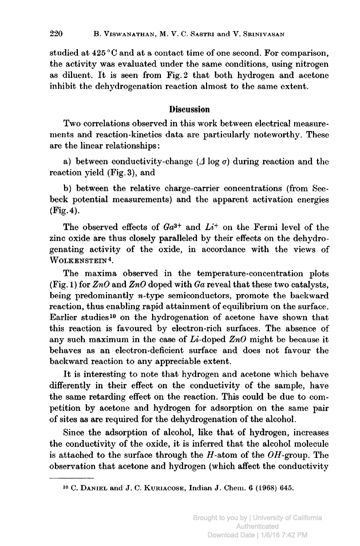studied at <sup>425</sup> °C and at <sup>a</sup> contact time of one second. For comparison, the activity was evaluated under the same conditions, using nitrogen as diluent. It is seen from Fig. <sup>2</sup> that both hydrogen and acetone inhibit the dehydrogenation reaction almost to the same extent.

## Discussion

Two correlations observed in this work between electrical measurements and reaction-kinetics data are particularly noteworthy. These are the linear relationships :

a) between conductivity-change ( $\Delta$  log  $\sigma$ ) during reaction and the reaction yield (Fig. 3), and

b) between the relative charge-carrier concentrations (from Seebeck potential measurements) and the apparent activation energies (Fig. 4).

The observed effects of  $Ga^{3+}$  and  $Li^+$  on the Fermi level of the zinc oxide are thus closely paralleled by their effects on the dehydrogenating activity of the oxide, in accordance with the views of WOLKENSTEIN<sup>4</sup>.

The maxima observed in the temperature-concentration plots (Fig. 1) for  $ZnO$  and  $ZnO$  doped with  $Ga$  reveal that these two catalysts, being predominantly *n*-type semiconductors, promote the backward reaction, thus enabling rapid attainment of equilibrium on the surface. Earlier studies<sup>10</sup> on the hydrogenation of acetone have shown that this reaction is favoured by electron-rich surfaces. The absence of any such maximum in the case of  $Li$ -doped  $ZnO$  might be because it behaves as an electron-deficient surface and does not favour the backward reaction to any appreciable extent.

It is interesting to note that hydrogen and acetone which behave differently in their effect on the conductivity of the sample, have the same retarding effect on the reaction. This could be due to competition by acetone and hydrogen for adsorption on the same pair of sites as are required for the dehydrogenation of the alcohol.

Since the adsorption of alcohol, like that of hydrogen, increases the conductivity of the oxide, it is inferred that the alcohol molecule is attached to the surface through the  $H$ -atom of the  $OH$ -group. The observation that acetone and hydrogen (which affect the conductivity

io C. Daniel and J. C. Kueiacose, Indian J. Chem. <sup>6</sup> (1968) 645.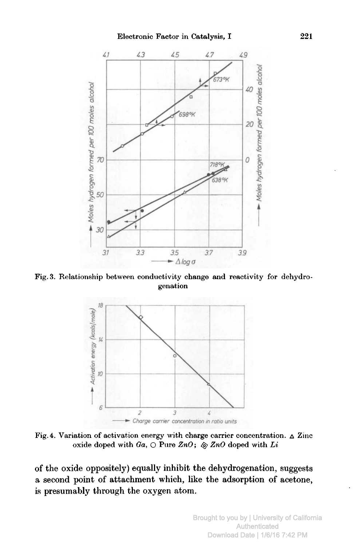

Fig.3. Relationship between conductivity change and reactivity for dehydrogenation



Fig. 4. Variation of activation energy with charge carrier concentration.  $\Delta$  Zinc oxide doped with  $Ga$ ,  $\bigcirc$  Pure  $ZnO$ ;  $\otimes ZnO$  doped with Li

of the oxide oppositely) equally inhibit the dehydrogenation, suggests <sup>a</sup> second point of attachment which, like the adsorption of acetone, is presumably through the oxygen atom.

> Brought to you by | University of California Authenticated Download Date | 1/6/16 7:42 PM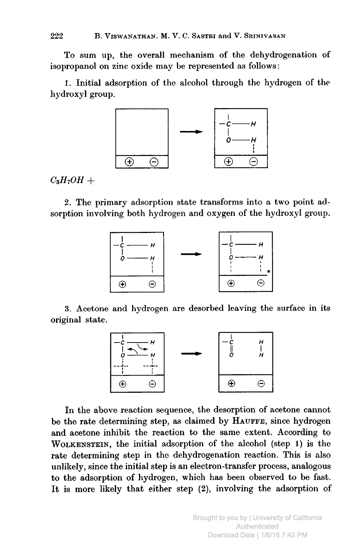To sum up, the overall mechanism of the dehydrogenation of isopropanol on zinc oxide may be represented as follows :

1. Initial adsorption of the alcohol through the hydrogen of the hydroxyl group.



 $C_3H_7OH +$ 

2. The primary adsorption state transforms into <sup>a</sup> two point adsorption involving both hydrogen and oxygen of the hydroxyl group.



3. Acetone and hydrogen are desorbed leaving the surface in its original state.



In the above reaction sequence, the desorption of acetone cannot be the rate determining step, as claimed by HAUFFE, since hydrogen and acetone inhibit the reaction to the same extent. According to Wolkenstein, the initial adsorption of the alcohol (step 1) is the rate determining step in the dehydrogenation reaction. This is also unlikely, since the initial step is an electron-transfer process, analogous to the adsorption of hydrogen, which has been observed to be fast. It is more likely that either step (2), involving the adsorption of